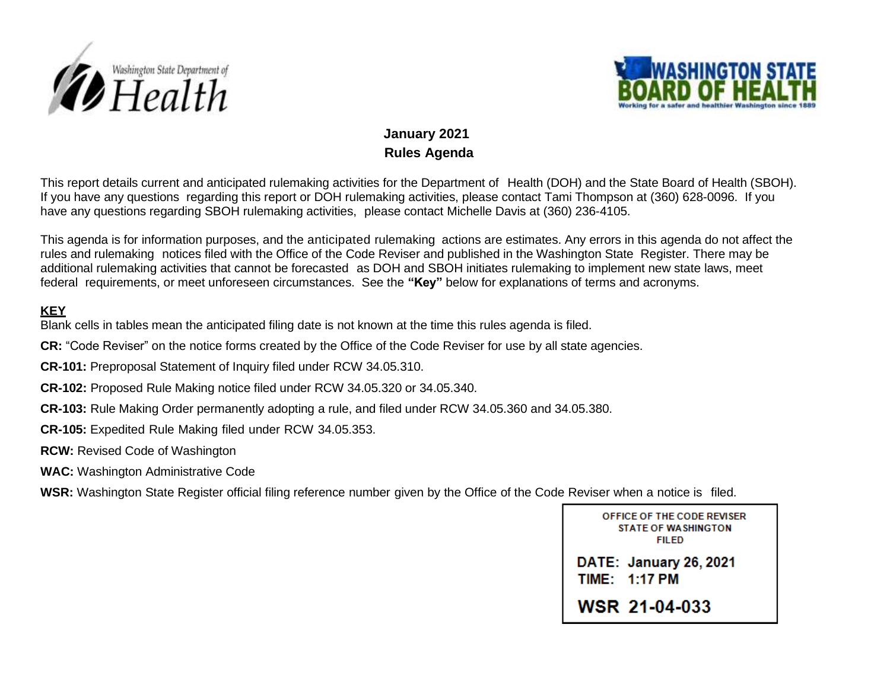



## **January 2021 Rules Agenda**

This report details current and anticipated rulemaking activities for the Department of Health (DOH) and the State Board of Health (SBOH). If you have any questions regarding this report or DOH rulemaking activities, please contact Tami Thompson at (360) 628-0096. If you have any questions regarding SBOH rulemaking activities, please contact Michelle Davis at (360) 236-4105.

This agenda is for information purposes, and the anticipated rulemaking actions are estimates. Any errors in this agenda do not affect the rules and rulemaking notices filed with the Office of the Code Reviser and published in the Washington State Register. There may be additional rulemaking activities that cannot be forecasted as DOH and SBOH initiates rulemaking to implement new state laws, meet federal requirements, or meet unforeseen circumstances. See the **"Key"** below for explanations of terms and acronyms.

## **KEY**

Blank cells in tables mean the anticipated filing date is not known at the time this rules agenda is filed.

**CR:** "Code Reviser" on the notice forms created by the Office of the Code Reviser for use by all state agencies.

**CR-101:** Preproposal Statement of Inquiry filed under RCW 34.05.310.

**CR-102:** Proposed Rule Making notice filed under RCW 34.05.320 or 34.05.340.

**CR-103:** Rule Making Order permanently adopting a rule, and filed under RCW 34.05.360 and 34.05.380.

**CR-105:** Expedited Rule Making filed under RCW 34.05.353.

**RCW:** Revised Code of Washington

**WAC:** Washington Administrative Code

**WSR:** Washington State Register official filing reference number given by the Office of the Code Reviser when a notice is filed.

OFFICE OF THE CODE REVISER **STATE OF WASHINGTON FILED** 

DATE: January 26, 2021 **TIME: 1:17 PM** 

**WSR 21-04-033**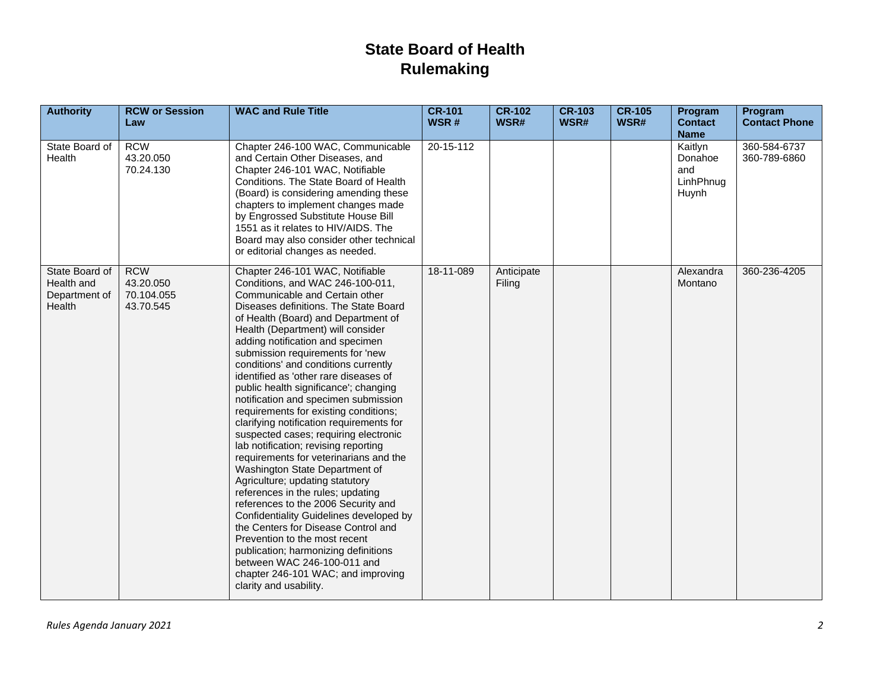## **State Board of Health Rulemaking**

| <b>Authority</b>                                        | <b>RCW or Session</b><br>Law                       | <b>WAC and Rule Title</b>                                                                                                                                                                                                                                                                                                                                                                                                                                                                                                                                                                                                                                                                                                                                                                                                                                                                                                                                                                                                                                                                       | <b>CR-101</b><br>WSR# | <b>CR-102</b><br>WSR# | <b>CR-103</b><br>WSR# | <b>CR-105</b><br>WSR# | Program<br><b>Contact</b><br><b>Name</b>        | Program<br><b>Contact Phone</b> |
|---------------------------------------------------------|----------------------------------------------------|-------------------------------------------------------------------------------------------------------------------------------------------------------------------------------------------------------------------------------------------------------------------------------------------------------------------------------------------------------------------------------------------------------------------------------------------------------------------------------------------------------------------------------------------------------------------------------------------------------------------------------------------------------------------------------------------------------------------------------------------------------------------------------------------------------------------------------------------------------------------------------------------------------------------------------------------------------------------------------------------------------------------------------------------------------------------------------------------------|-----------------------|-----------------------|-----------------------|-----------------------|-------------------------------------------------|---------------------------------|
| State Board of<br>Health                                | <b>RCW</b><br>43.20.050<br>70.24.130               | Chapter 246-100 WAC, Communicable<br>and Certain Other Diseases, and<br>Chapter 246-101 WAC, Notifiable<br>Conditions. The State Board of Health<br>(Board) is considering amending these<br>chapters to implement changes made<br>by Engrossed Substitute House Bill<br>1551 as it relates to HIV/AIDS. The<br>Board may also consider other technical<br>or editorial changes as needed.                                                                                                                                                                                                                                                                                                                                                                                                                                                                                                                                                                                                                                                                                                      | 20-15-112             |                       |                       |                       | Kaitlyn<br>Donahoe<br>and<br>LinhPhnug<br>Huynh | 360-584-6737<br>360-789-6860    |
| State Board of<br>Health and<br>Department of<br>Health | <b>RCW</b><br>43.20.050<br>70.104.055<br>43.70.545 | Chapter 246-101 WAC, Notifiable<br>Conditions, and WAC 246-100-011,<br>Communicable and Certain other<br>Diseases definitions. The State Board<br>of Health (Board) and Department of<br>Health (Department) will consider<br>adding notification and specimen<br>submission requirements for 'new<br>conditions' and conditions currently<br>identified as 'other rare diseases of<br>public health significance'; changing<br>notification and specimen submission<br>requirements for existing conditions;<br>clarifying notification requirements for<br>suspected cases; requiring electronic<br>lab notification; revising reporting<br>requirements for veterinarians and the<br>Washington State Department of<br>Agriculture; updating statutory<br>references in the rules; updating<br>references to the 2006 Security and<br>Confidentiality Guidelines developed by<br>the Centers for Disease Control and<br>Prevention to the most recent<br>publication; harmonizing definitions<br>between WAC 246-100-011 and<br>chapter 246-101 WAC; and improving<br>clarity and usability. | 18-11-089             | Anticipate<br>Filing  |                       |                       | Alexandra<br>Montano                            | 360-236-4205                    |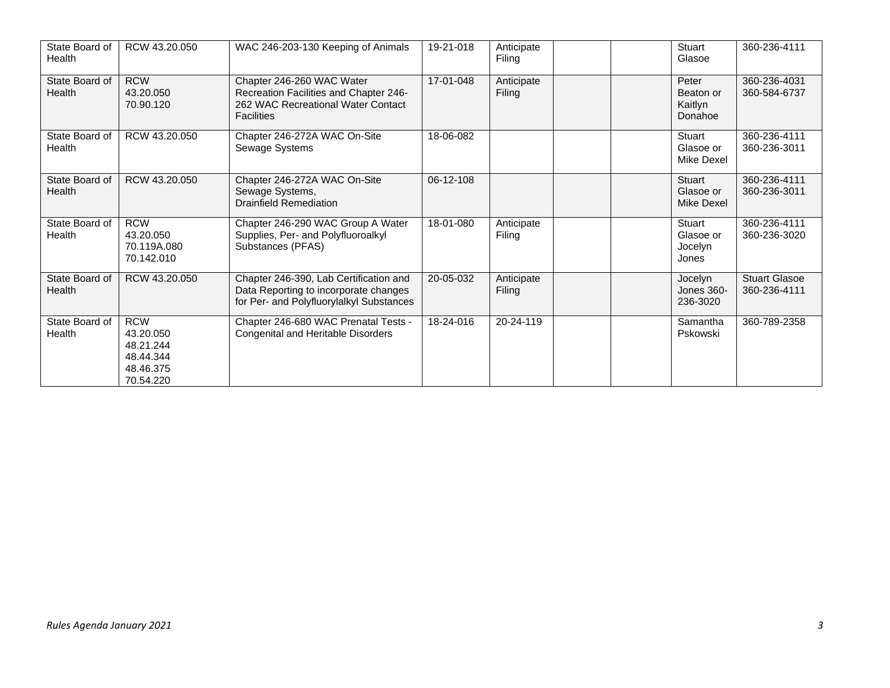| State Board of<br>Health | RCW 43.20.050                                                               | WAC 246-203-130 Keeping of Animals                                                                                             | 19-21-018 | Anticipate<br>Filing | Stuart<br>Glasoe                         | 360-236-4111                         |
|--------------------------|-----------------------------------------------------------------------------|--------------------------------------------------------------------------------------------------------------------------------|-----------|----------------------|------------------------------------------|--------------------------------------|
| State Board of<br>Health | <b>RCW</b><br>43.20.050<br>70.90.120                                        | Chapter 246-260 WAC Water<br>Recreation Facilities and Chapter 246-<br>262 WAC Recreational Water Contact<br><b>Facilities</b> | 17-01-048 | Anticipate<br>Filing | Peter<br>Beaton or<br>Kaitlyn<br>Donahoe | 360-236-4031<br>360-584-6737         |
| State Board of<br>Health | RCW 43.20.050                                                               | Chapter 246-272A WAC On-Site<br>Sewage Systems                                                                                 | 18-06-082 |                      | Stuart<br>Glasoe or<br>Mike Dexel        | 360-236-4111<br>360-236-3011         |
| State Board of<br>Health | RCW 43.20.050                                                               | Chapter 246-272A WAC On-Site<br>Sewage Systems,<br>Drainfield Remediation                                                      | 06-12-108 |                      | Stuart<br>Glasoe or<br>Mike Dexel        | 360-236-4111<br>360-236-3011         |
| State Board of<br>Health | <b>RCW</b><br>43.20.050<br>70.119A.080<br>70.142.010                        | Chapter 246-290 WAC Group A Water<br>Supplies, Per- and Polyfluoroalkyl<br>Substances (PFAS)                                   | 18-01-080 | Anticipate<br>Filing | Stuart<br>Glasoe or<br>Jocelyn<br>Jones  | 360-236-4111<br>360-236-3020         |
| State Board of<br>Health | RCW 43.20.050                                                               | Chapter 246-390, Lab Certification and<br>Data Reporting to incorporate changes<br>for Per- and Polyfluorylalkyl Substances    | 20-05-032 | Anticipate<br>Filing | Jocelyn<br>Jones 360-<br>236-3020        | <b>Stuart Glasoe</b><br>360-236-4111 |
| State Board of<br>Health | <b>RCW</b><br>43.20.050<br>48.21.244<br>48.44.344<br>48.46.375<br>70.54.220 | Chapter 246-680 WAC Prenatal Tests -<br>Congenital and Heritable Disorders                                                     | 18-24-016 | 20-24-119            | Samantha<br>Pskowski                     | 360-789-2358                         |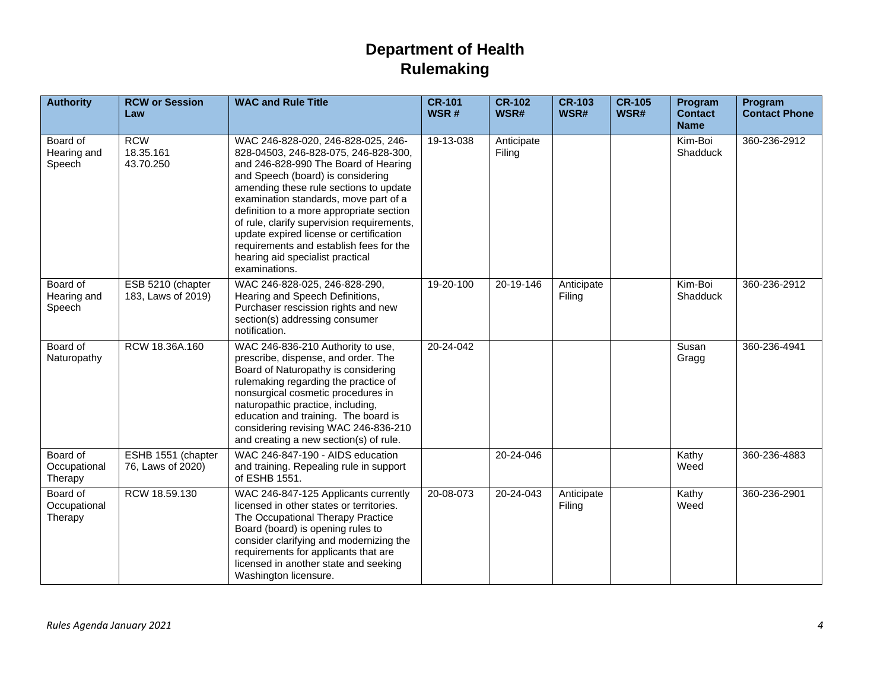## **Department of Health Rulemaking**

| <b>Authority</b>                    | <b>RCW or Session</b><br>Law            | <b>WAC and Rule Title</b>                                                                                                                                                                                                                                                                                                                                                                                                                                                       | $CR-101$<br>WSR# | <b>CR-102</b><br>WSR# | <b>CR-103</b><br>WSR# | <b>CR-105</b><br>WSR# | Program<br><b>Contact</b><br><b>Name</b> | Program<br><b>Contact Phone</b> |
|-------------------------------------|-----------------------------------------|---------------------------------------------------------------------------------------------------------------------------------------------------------------------------------------------------------------------------------------------------------------------------------------------------------------------------------------------------------------------------------------------------------------------------------------------------------------------------------|------------------|-----------------------|-----------------------|-----------------------|------------------------------------------|---------------------------------|
| Board of<br>Hearing and<br>Speech   | <b>RCW</b><br>18.35.161<br>43.70.250    | WAC 246-828-020, 246-828-025, 246-<br>828-04503, 246-828-075, 246-828-300,<br>and 246-828-990 The Board of Hearing<br>and Speech (board) is considering<br>amending these rule sections to update<br>examination standards, move part of a<br>definition to a more appropriate section<br>of rule, clarify supervision requirements,<br>update expired license or certification<br>requirements and establish fees for the<br>hearing aid specialist practical<br>examinations. | 19-13-038        | Anticipate<br>Filing  |                       |                       | Kim-Boi<br>Shadduck                      | 360-236-2912                    |
| Board of<br>Hearing and<br>Speech   | ESB 5210 (chapter<br>183, Laws of 2019) | WAC 246-828-025, 246-828-290,<br>Hearing and Speech Definitions,<br>Purchaser rescission rights and new<br>section(s) addressing consumer<br>notification.                                                                                                                                                                                                                                                                                                                      | 19-20-100        | 20-19-146             | Anticipate<br>Filing  |                       | Kim-Boi<br>Shadduck                      | 360-236-2912                    |
| Board of<br>Naturopathy             | RCW 18.36A.160                          | WAC 246-836-210 Authority to use,<br>prescribe, dispense, and order. The<br>Board of Naturopathy is considering<br>rulemaking regarding the practice of<br>nonsurgical cosmetic procedures in<br>naturopathic practice, including,<br>education and training. The board is<br>considering revising WAC 246-836-210<br>and creating a new section(s) of rule.                                                                                                                    | $20 - 24 - 042$  |                       |                       |                       | Susan<br>Gragg                           | 360-236-4941                    |
| Board of<br>Occupational<br>Therapy | ESHB 1551 (chapter<br>76, Laws of 2020) | WAC 246-847-190 - AIDS education<br>and training. Repealing rule in support<br>of ESHB 1551.                                                                                                                                                                                                                                                                                                                                                                                    |                  | 20-24-046             |                       |                       | Kathy<br>Weed                            | 360-236-4883                    |
| Board of<br>Occupational<br>Therapy | RCW 18.59.130                           | WAC 246-847-125 Applicants currently<br>licensed in other states or territories.<br>The Occupational Therapy Practice<br>Board (board) is opening rules to<br>consider clarifying and modernizing the<br>requirements for applicants that are<br>licensed in another state and seeking<br>Washington licensure.                                                                                                                                                                 | 20-08-073        | 20-24-043             | Anticipate<br>Filing  |                       | Kathy<br>Weed                            | 360-236-2901                    |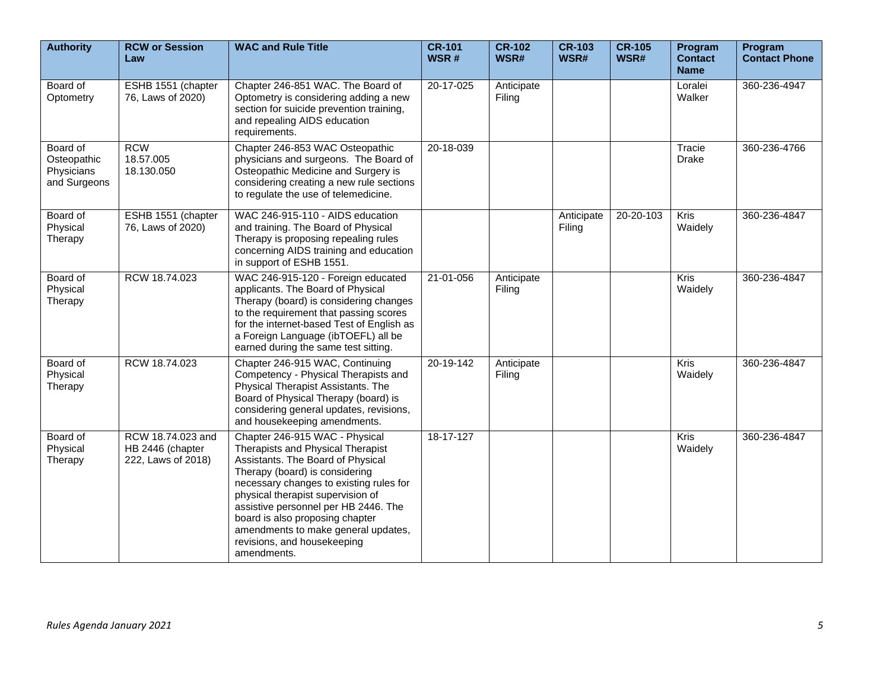| <b>Authority</b>                                      | <b>RCW or Session</b><br>Law                                | <b>WAC and Rule Title</b>                                                                                                                                                                                                                                                                                                                                                                  | $CR-101$<br>WSR# | <b>CR-102</b><br>WSR# | <b>CR-103</b><br>WSR# | <b>CR-105</b><br>WSR# | Program<br><b>Contact</b><br><b>Name</b> | Program<br><b>Contact Phone</b> |
|-------------------------------------------------------|-------------------------------------------------------------|--------------------------------------------------------------------------------------------------------------------------------------------------------------------------------------------------------------------------------------------------------------------------------------------------------------------------------------------------------------------------------------------|------------------|-----------------------|-----------------------|-----------------------|------------------------------------------|---------------------------------|
| Board of<br>Optometry                                 | ESHB 1551 (chapter<br>76, Laws of 2020)                     | Chapter 246-851 WAC. The Board of<br>Optometry is considering adding a new<br>section for suicide prevention training,<br>and repealing AIDS education<br>requirements.                                                                                                                                                                                                                    | 20-17-025        | Anticipate<br>Filing  |                       |                       | Loralei<br>Walker                        | 360-236-4947                    |
| Board of<br>Osteopathic<br>Physicians<br>and Surgeons | <b>RCW</b><br>18.57.005<br>18.130.050                       | Chapter 246-853 WAC Osteopathic<br>physicians and surgeons. The Board of<br>Osteopathic Medicine and Surgery is<br>considering creating a new rule sections<br>to regulate the use of telemedicine.                                                                                                                                                                                        | 20-18-039        |                       |                       |                       | Tracie<br>Drake                          | 360-236-4766                    |
| Board of<br>Physical<br>Therapy                       | ESHB 1551 (chapter<br>76, Laws of 2020)                     | WAC 246-915-110 - AIDS education<br>and training. The Board of Physical<br>Therapy is proposing repealing rules<br>concerning AIDS training and education<br>in support of ESHB 1551.                                                                                                                                                                                                      |                  |                       | Anticipate<br>Filing  | 20-20-103             | Kris<br>Waidely                          | 360-236-4847                    |
| Board of<br>Physical<br>Therapy                       | RCW 18.74.023                                               | WAC 246-915-120 - Foreign educated<br>applicants. The Board of Physical<br>Therapy (board) is considering changes<br>to the requirement that passing scores<br>for the internet-based Test of English as<br>a Foreign Language (ibTOEFL) all be<br>earned during the same test sitting.                                                                                                    | 21-01-056        | Anticipate<br>Filing  |                       |                       | <b>Kris</b><br>Waidely                   | 360-236-4847                    |
| Board of<br>Physical<br>Therapy                       | RCW 18.74.023                                               | Chapter 246-915 WAC, Continuing<br>Competency - Physical Therapists and<br>Physical Therapist Assistants. The<br>Board of Physical Therapy (board) is<br>considering general updates, revisions,<br>and housekeeping amendments.                                                                                                                                                           | 20-19-142        | Anticipate<br>Filing  |                       |                       | <b>Kris</b><br>Waidely                   | 360-236-4847                    |
| Board of<br>Physical<br>Therapy                       | RCW 18.74.023 and<br>HB 2446 (chapter<br>222, Laws of 2018) | Chapter 246-915 WAC - Physical<br>Therapists and Physical Therapist<br>Assistants. The Board of Physical<br>Therapy (board) is considering<br>necessary changes to existing rules for<br>physical therapist supervision of<br>assistive personnel per HB 2446. The<br>board is also proposing chapter<br>amendments to make general updates,<br>revisions, and housekeeping<br>amendments. | 18-17-127        |                       |                       |                       | Kris<br>Waidely                          | 360-236-4847                    |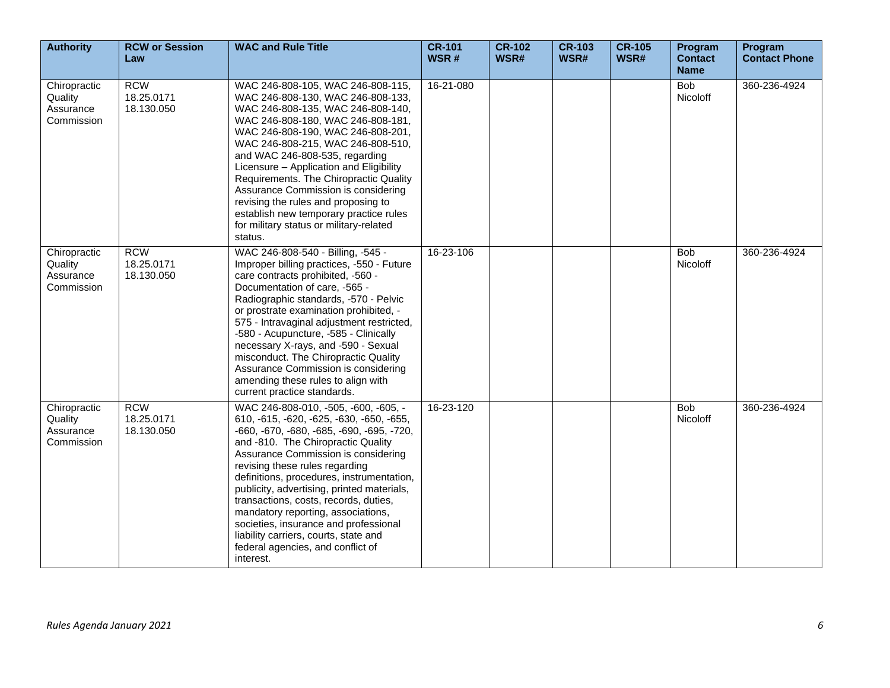| <b>Authority</b>                                   | <b>RCW or Session</b><br>Law           | <b>WAC and Rule Title</b>                                                                                                                                                                                                                                                                                                                                                                                                                                                                                                                                  | <b>CR-101</b><br>WSR# | <b>CR-102</b><br>WSR# | <b>CR-103</b><br>WSR# | <b>CR-105</b><br>WSR# | Program<br><b>Contact</b><br><b>Name</b> | Program<br><b>Contact Phone</b> |
|----------------------------------------------------|----------------------------------------|------------------------------------------------------------------------------------------------------------------------------------------------------------------------------------------------------------------------------------------------------------------------------------------------------------------------------------------------------------------------------------------------------------------------------------------------------------------------------------------------------------------------------------------------------------|-----------------------|-----------------------|-----------------------|-----------------------|------------------------------------------|---------------------------------|
| Chiropractic<br>Quality<br>Assurance<br>Commission | <b>RCW</b><br>18.25.0171<br>18.130.050 | WAC 246-808-105, WAC 246-808-115,<br>WAC 246-808-130, WAC 246-808-133,<br>WAC 246-808-135, WAC 246-808-140,<br>WAC 246-808-180, WAC 246-808-181,<br>WAC 246-808-190, WAC 246-808-201,<br>WAC 246-808-215, WAC 246-808-510,<br>and WAC 246-808-535, regarding<br>Licensure - Application and Eligibility<br>Requirements. The Chiropractic Quality<br>Assurance Commission is considering<br>revising the rules and proposing to<br>establish new temporary practice rules<br>for military status or military-related<br>status.                            | 16-21-080             |                       |                       |                       | Bob<br>Nicoloff                          | 360-236-4924                    |
| Chiropractic<br>Quality<br>Assurance<br>Commission | <b>RCW</b><br>18.25.0171<br>18.130.050 | WAC 246-808-540 - Billing, -545 -<br>Improper billing practices, -550 - Future<br>care contracts prohibited, -560 -<br>Documentation of care, -565 -<br>Radiographic standards, -570 - Pelvic<br>or prostrate examination prohibited, -<br>575 - Intravaginal adjustment restricted,<br>-580 - Acupuncture, -585 - Clinically<br>necessary X-rays, and -590 - Sexual<br>misconduct. The Chiropractic Quality<br>Assurance Commission is considering<br>amending these rules to align with<br>current practice standards.                                   | 16-23-106             |                       |                       |                       | <b>Bob</b><br><b>Nicoloff</b>            | 360-236-4924                    |
| Chiropractic<br>Quality<br>Assurance<br>Commission | <b>RCW</b><br>18.25.0171<br>18.130.050 | WAC 246-808-010, -505, -600, -605, -<br>610, -615, -620, -625, -630, -650, -655,<br>-660, -670, -680, -685, -690, -695, -720,<br>and -810. The Chiropractic Quality<br>Assurance Commission is considering<br>revising these rules regarding<br>definitions, procedures, instrumentation,<br>publicity, advertising, printed materials,<br>transactions, costs, records, duties,<br>mandatory reporting, associations,<br>societies, insurance and professional<br>liability carriers, courts, state and<br>federal agencies, and conflict of<br>interest. | 16-23-120             |                       |                       |                       | <b>Bob</b><br>Nicoloff                   | 360-236-4924                    |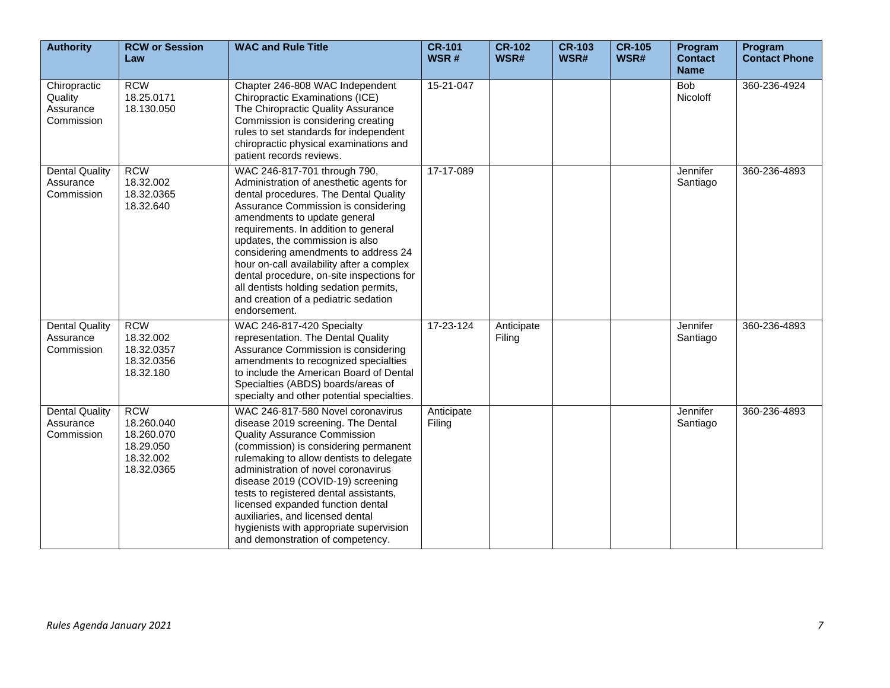| <b>Authority</b>                                   | <b>RCW or Session</b><br>Law                                                   | <b>WAC and Rule Title</b>                                                                                                                                                                                                                                                                                                                                                                                                                                                                              | <b>CR-101</b><br>WSR# | <b>CR-102</b><br>WSR# | <b>CR-103</b><br>WSR# | <b>CR-105</b><br>WSR# | Program<br><b>Contact</b><br><b>Name</b> | Program<br><b>Contact Phone</b> |
|----------------------------------------------------|--------------------------------------------------------------------------------|--------------------------------------------------------------------------------------------------------------------------------------------------------------------------------------------------------------------------------------------------------------------------------------------------------------------------------------------------------------------------------------------------------------------------------------------------------------------------------------------------------|-----------------------|-----------------------|-----------------------|-----------------------|------------------------------------------|---------------------------------|
| Chiropractic<br>Quality<br>Assurance<br>Commission | <b>RCW</b><br>18.25.0171<br>18.130.050                                         | Chapter 246-808 WAC Independent<br>Chiropractic Examinations (ICE)<br>The Chiropractic Quality Assurance<br>Commission is considering creating<br>rules to set standards for independent<br>chiropractic physical examinations and<br>patient records reviews.                                                                                                                                                                                                                                         | 15-21-047             |                       |                       |                       | <b>Bob</b><br>Nicoloff                   | 360-236-4924                    |
| <b>Dental Quality</b><br>Assurance<br>Commission   | <b>RCW</b><br>18.32.002<br>18.32.0365<br>18.32.640                             | WAC 246-817-701 through 790,<br>Administration of anesthetic agents for<br>dental procedures. The Dental Quality<br>Assurance Commission is considering<br>amendments to update general<br>requirements. In addition to general<br>updates, the commission is also<br>considering amendments to address 24<br>hour on-call availability after a complex<br>dental procedure, on-site inspections for<br>all dentists holding sedation permits,<br>and creation of a pediatric sedation<br>endorsement. | 17-17-089             |                       |                       |                       | Jennifer<br>Santiago                     | 360-236-4893                    |
| <b>Dental Quality</b><br>Assurance<br>Commission   | <b>RCW</b><br>18.32.002<br>18.32.0357<br>18.32.0356<br>18.32.180               | WAC 246-817-420 Specialty<br>representation. The Dental Quality<br>Assurance Commission is considering<br>amendments to recognized specialties<br>to include the American Board of Dental<br>Specialties (ABDS) boards/areas of<br>specialty and other potential specialties.                                                                                                                                                                                                                          | 17-23-124             | Anticipate<br>Filing  |                       |                       | Jennifer<br>Santiago                     | 360-236-4893                    |
| <b>Dental Quality</b><br>Assurance<br>Commission   | <b>RCW</b><br>18.260.040<br>18.260.070<br>18.29.050<br>18.32.002<br>18.32.0365 | WAC 246-817-580 Novel coronavirus<br>disease 2019 screening. The Dental<br><b>Quality Assurance Commission</b><br>(commission) is considering permanent<br>rulemaking to allow dentists to delegate<br>administration of novel coronavirus<br>disease 2019 (COVID-19) screening<br>tests to registered dental assistants,<br>licensed expanded function dental<br>auxiliaries, and licensed dental<br>hygienists with appropriate supervision<br>and demonstration of competency.                      | Anticipate<br>Filing  |                       |                       |                       | Jennifer<br>Santiago                     | 360-236-4893                    |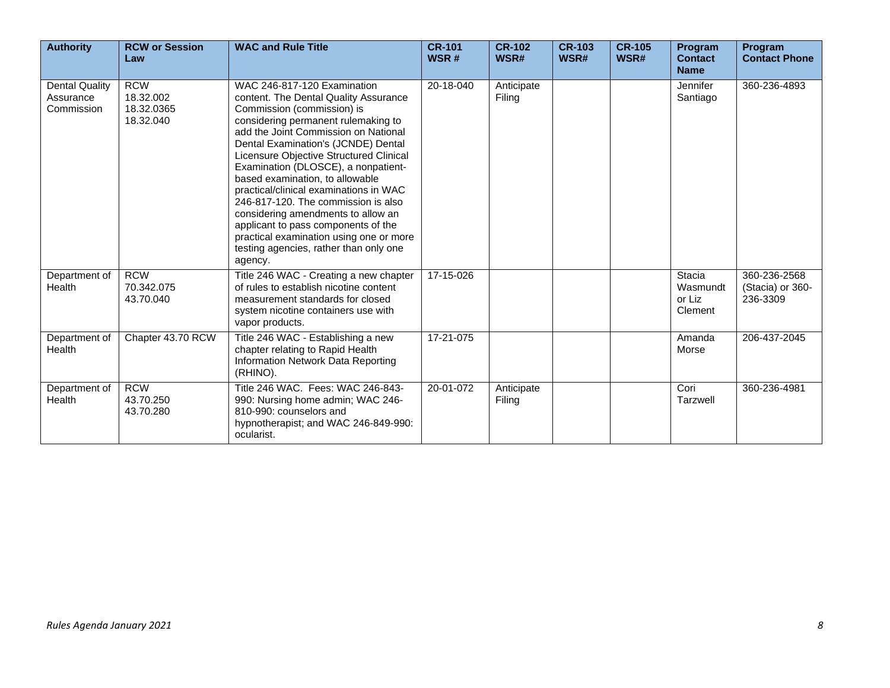| <b>Authority</b>                                 | <b>RCW or Session</b><br>Law                       | <b>WAC and Rule Title</b>                                                                                                                                                                                                                                                                                                                                                                                                                                                                                                                                                                                   | <b>CR-101</b><br>WSR# | <b>CR-102</b><br>WSR# | <b>CR-103</b><br>WSR# | <b>CR-105</b><br>WSR# | Program<br><b>Contact</b><br><b>Name</b> | Program<br><b>Contact Phone</b>              |
|--------------------------------------------------|----------------------------------------------------|-------------------------------------------------------------------------------------------------------------------------------------------------------------------------------------------------------------------------------------------------------------------------------------------------------------------------------------------------------------------------------------------------------------------------------------------------------------------------------------------------------------------------------------------------------------------------------------------------------------|-----------------------|-----------------------|-----------------------|-----------------------|------------------------------------------|----------------------------------------------|
| <b>Dental Quality</b><br>Assurance<br>Commission | <b>RCW</b><br>18.32.002<br>18.32.0365<br>18.32.040 | WAC 246-817-120 Examination<br>content. The Dental Quality Assurance<br>Commission (commission) is<br>considering permanent rulemaking to<br>add the Joint Commission on National<br>Dental Examination's (JCNDE) Dental<br>Licensure Objective Structured Clinical<br>Examination (DLOSCE), a nonpatient-<br>based examination, to allowable<br>practical/clinical examinations in WAC<br>246-817-120. The commission is also<br>considering amendments to allow an<br>applicant to pass components of the<br>practical examination using one or more<br>testing agencies, rather than only one<br>agency. | 20-18-040             | Anticipate<br>Filing  |                       |                       | Jennifer<br>Santiago                     | 360-236-4893                                 |
| Department of<br>Health                          | <b>RCW</b><br>70.342.075<br>43.70.040              | Title 246 WAC - Creating a new chapter<br>of rules to establish nicotine content<br>measurement standards for closed<br>system nicotine containers use with<br>vapor products.                                                                                                                                                                                                                                                                                                                                                                                                                              | 17-15-026             |                       |                       |                       | Stacia<br>Wasmundt<br>or Liz<br>Clement  | 360-236-2568<br>(Stacia) or 360-<br>236-3309 |
| Department of<br>Health                          | Chapter 43.70 RCW                                  | Title 246 WAC - Establishing a new<br>chapter relating to Rapid Health<br>Information Network Data Reporting<br>(RHINO).                                                                                                                                                                                                                                                                                                                                                                                                                                                                                    | 17-21-075             |                       |                       |                       | Amanda<br>Morse                          | 206-437-2045                                 |
| Department of<br>Health                          | <b>RCW</b><br>43.70.250<br>43.70.280               | Title 246 WAC. Fees: WAC 246-843-<br>990: Nursing home admin; WAC 246-<br>810-990: counselors and<br>hypnotherapist; and WAC 246-849-990:<br>ocularist.                                                                                                                                                                                                                                                                                                                                                                                                                                                     | 20-01-072             | Anticipate<br>Filing  |                       |                       | Cori<br>Tarzwell                         | 360-236-4981                                 |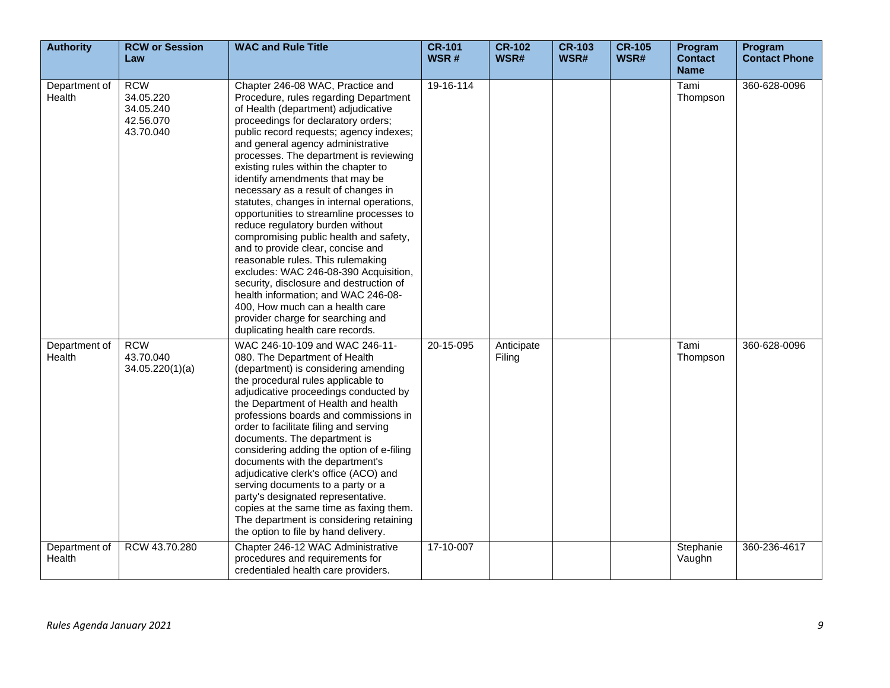| <b>Authority</b>        | <b>RCW or Session</b><br>Law                                   | <b>WAC and Rule Title</b>                                                                                                                                                                                                                                                                                                                                                                                                                                                                                                                                                                                                                                                                                                                                                                                                                                                                   | <b>CR-101</b><br>WSR# | <b>CR-102</b><br>WSR# | <b>CR-103</b><br>WSR# | <b>CR-105</b><br>WSR# | Program<br><b>Contact</b><br><b>Name</b> | Program<br><b>Contact Phone</b> |
|-------------------------|----------------------------------------------------------------|---------------------------------------------------------------------------------------------------------------------------------------------------------------------------------------------------------------------------------------------------------------------------------------------------------------------------------------------------------------------------------------------------------------------------------------------------------------------------------------------------------------------------------------------------------------------------------------------------------------------------------------------------------------------------------------------------------------------------------------------------------------------------------------------------------------------------------------------------------------------------------------------|-----------------------|-----------------------|-----------------------|-----------------------|------------------------------------------|---------------------------------|
| Department of<br>Health | <b>RCW</b><br>34.05.220<br>34.05.240<br>42.56.070<br>43.70.040 | Chapter 246-08 WAC, Practice and<br>Procedure, rules regarding Department<br>of Health (department) adjudicative<br>proceedings for declaratory orders;<br>public record requests; agency indexes;<br>and general agency administrative<br>processes. The department is reviewing<br>existing rules within the chapter to<br>identify amendments that may be<br>necessary as a result of changes in<br>statutes, changes in internal operations,<br>opportunities to streamline processes to<br>reduce regulatory burden without<br>compromising public health and safety,<br>and to provide clear, concise and<br>reasonable rules. This rulemaking<br>excludes: WAC 246-08-390 Acquisition,<br>security, disclosure and destruction of<br>health information; and WAC 246-08-<br>400, How much can a health care<br>provider charge for searching and<br>duplicating health care records. | 19-16-114             |                       |                       |                       | Tami<br>Thompson                         | 360-628-0096                    |
| Department of<br>Health | <b>RCW</b><br>43.70.040<br>34.05.220(1)(a)                     | WAC 246-10-109 and WAC 246-11-<br>080. The Department of Health<br>(department) is considering amending<br>the procedural rules applicable to<br>adjudicative proceedings conducted by<br>the Department of Health and health<br>professions boards and commissions in<br>order to facilitate filing and serving<br>documents. The department is<br>considering adding the option of e-filing<br>documents with the department's<br>adjudicative clerk's office (ACO) and<br>serving documents to a party or a<br>party's designated representative.<br>copies at the same time as faxing them.<br>The department is considering retaining<br>the option to file by hand delivery.                                                                                                                                                                                                          | 20-15-095             | Anticipate<br>Filing  |                       |                       | Tami<br>Thompson                         | 360-628-0096                    |
| Department of<br>Health | RCW 43.70.280                                                  | Chapter 246-12 WAC Administrative<br>procedures and requirements for<br>credentialed health care providers.                                                                                                                                                                                                                                                                                                                                                                                                                                                                                                                                                                                                                                                                                                                                                                                 | 17-10-007             |                       |                       |                       | Stephanie<br>Vaughn                      | 360-236-4617                    |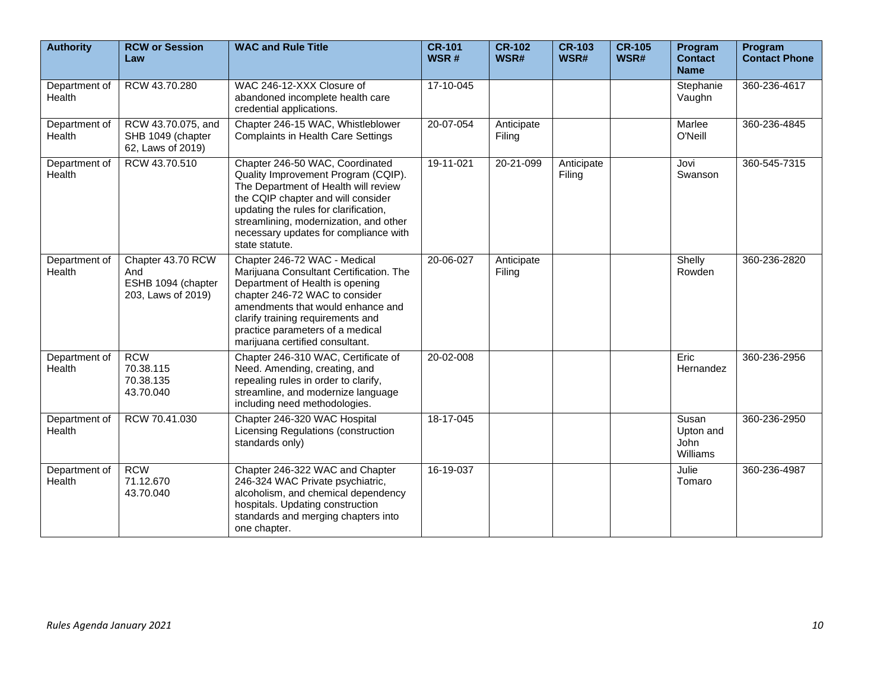| <b>Authority</b>        | <b>RCW or Session</b><br>Law                                         | <b>WAC and Rule Title</b>                                                                                                                                                                                                                                                                          | <b>CR-101</b><br>WSR# | $CR-102$<br>WSR#     | <b>CR-103</b><br>WSR# | <b>CR-105</b><br>WSR# | Program<br><b>Contact</b><br><b>Name</b> | Program<br><b>Contact Phone</b> |
|-------------------------|----------------------------------------------------------------------|----------------------------------------------------------------------------------------------------------------------------------------------------------------------------------------------------------------------------------------------------------------------------------------------------|-----------------------|----------------------|-----------------------|-----------------------|------------------------------------------|---------------------------------|
| Department of<br>Health | RCW 43.70.280                                                        | WAC 246-12-XXX Closure of<br>abandoned incomplete health care<br>credential applications.                                                                                                                                                                                                          | 17-10-045             |                      |                       |                       | Stephanie<br>Vaughn                      | 360-236-4617                    |
| Department of<br>Health | RCW 43.70.075, and<br>SHB 1049 (chapter<br>62, Laws of 2019)         | Chapter 246-15 WAC, Whistleblower<br><b>Complaints in Health Care Settings</b>                                                                                                                                                                                                                     | 20-07-054             | Anticipate<br>Filing |                       |                       | Marlee<br>O'Neill                        | 360-236-4845                    |
| Department of<br>Health | RCW 43.70.510                                                        | Chapter 246-50 WAC, Coordinated<br>Quality Improvement Program (CQIP).<br>The Department of Health will review<br>the CQIP chapter and will consider<br>updating the rules for clarification,<br>streamlining, modernization, and other<br>necessary updates for compliance with<br>state statute. | 19-11-021             | 20-21-099            | Anticipate<br>Filing  |                       | Jovi<br>Swanson                          | 360-545-7315                    |
| Department of<br>Health | Chapter 43.70 RCW<br>And<br>ESHB 1094 (chapter<br>203, Laws of 2019) | Chapter 246-72 WAC - Medical<br>Marijuana Consultant Certification. The<br>Department of Health is opening<br>chapter 246-72 WAC to consider<br>amendments that would enhance and<br>clarify training requirements and<br>practice parameters of a medical<br>marijuana certified consultant.      | 20-06-027             | Anticipate<br>Filing |                       |                       | Shelly<br>Rowden                         | 360-236-2820                    |
| Department of<br>Health | <b>RCW</b><br>70.38.115<br>70.38.135<br>43.70.040                    | Chapter 246-310 WAC, Certificate of<br>Need. Amending, creating, and<br>repealing rules in order to clarify,<br>streamline, and modernize language<br>including need methodologies.                                                                                                                | 20-02-008             |                      |                       |                       | Eric<br>Hernandez                        | 360-236-2956                    |
| Department of<br>Health | RCW 70.41.030                                                        | Chapter 246-320 WAC Hospital<br>Licensing Regulations (construction<br>standards only)                                                                                                                                                                                                             | 18-17-045             |                      |                       |                       | Susan<br>Upton and<br>John<br>Williams   | 360-236-2950                    |
| Department of<br>Health | <b>RCW</b><br>71.12.670<br>43.70.040                                 | Chapter 246-322 WAC and Chapter<br>246-324 WAC Private psychiatric,<br>alcoholism, and chemical dependency<br>hospitals. Updating construction<br>standards and merging chapters into<br>one chapter.                                                                                              | 16-19-037             |                      |                       |                       | Julie<br>Tomaro                          | 360-236-4987                    |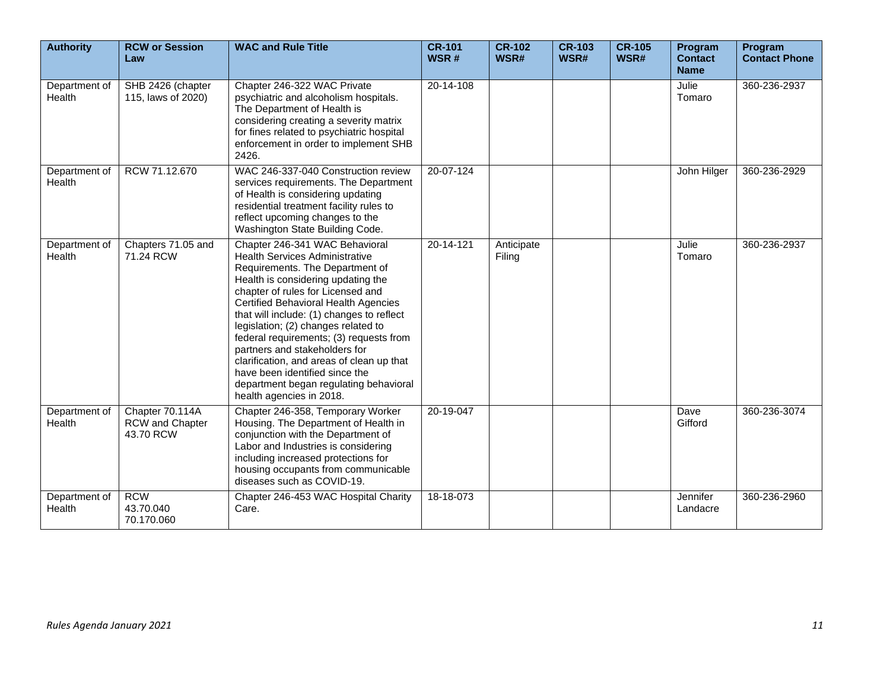| <b>Authority</b>        | <b>RCW or Session</b><br>Law                           | <b>WAC and Rule Title</b>                                                                                                                                                                                                                                                                                                                                                                                                                                                                                                                          | <b>CR-101</b><br>WSR# | <b>CR-102</b><br>WSR# | <b>CR-103</b><br>WSR# | <b>CR-105</b><br>WSR# | Program<br><b>Contact</b><br><b>Name</b> | Program<br><b>Contact Phone</b> |
|-------------------------|--------------------------------------------------------|----------------------------------------------------------------------------------------------------------------------------------------------------------------------------------------------------------------------------------------------------------------------------------------------------------------------------------------------------------------------------------------------------------------------------------------------------------------------------------------------------------------------------------------------------|-----------------------|-----------------------|-----------------------|-----------------------|------------------------------------------|---------------------------------|
| Department of<br>Health | SHB 2426 (chapter<br>115, laws of 2020)                | Chapter 246-322 WAC Private<br>psychiatric and alcoholism hospitals.<br>The Department of Health is<br>considering creating a severity matrix<br>for fines related to psychiatric hospital<br>enforcement in order to implement SHB<br>2426.                                                                                                                                                                                                                                                                                                       | 20-14-108             |                       |                       |                       | Julie<br>Tomaro                          | 360-236-2937                    |
| Department of<br>Health | RCW 71.12.670                                          | WAC 246-337-040 Construction review<br>services requirements. The Department<br>of Health is considering updating<br>residential treatment facility rules to<br>reflect upcoming changes to the<br>Washington State Building Code.                                                                                                                                                                                                                                                                                                                 | 20-07-124             |                       |                       |                       | John Hilger                              | 360-236-2929                    |
| Department of<br>Health | Chapters 71.05 and<br>71.24 RCW                        | Chapter 246-341 WAC Behavioral<br><b>Health Services Administrative</b><br>Requirements. The Department of<br>Health is considering updating the<br>chapter of rules for Licensed and<br>Certified Behavioral Health Agencies<br>that will include: (1) changes to reflect<br>legislation; (2) changes related to<br>federal requirements; (3) requests from<br>partners and stakeholders for<br>clarification, and areas of clean up that<br>have been identified since the<br>department began regulating behavioral<br>health agencies in 2018. | 20-14-121             | Anticipate<br>Filing  |                       |                       | Julie<br>Tomaro                          | 360-236-2937                    |
| Department of<br>Health | Chapter 70.114A<br><b>RCW</b> and Chapter<br>43.70 RCW | Chapter 246-358, Temporary Worker<br>Housing. The Department of Health in<br>conjunction with the Department of<br>Labor and Industries is considering<br>including increased protections for<br>housing occupants from communicable<br>diseases such as COVID-19.                                                                                                                                                                                                                                                                                 | 20-19-047             |                       |                       |                       | Dave<br>Gifford                          | 360-236-3074                    |
| Department of<br>Health | <b>RCW</b><br>43.70.040<br>70.170.060                  | Chapter 246-453 WAC Hospital Charity<br>Care.                                                                                                                                                                                                                                                                                                                                                                                                                                                                                                      | 18-18-073             |                       |                       |                       | Jennifer<br>Landacre                     | 360-236-2960                    |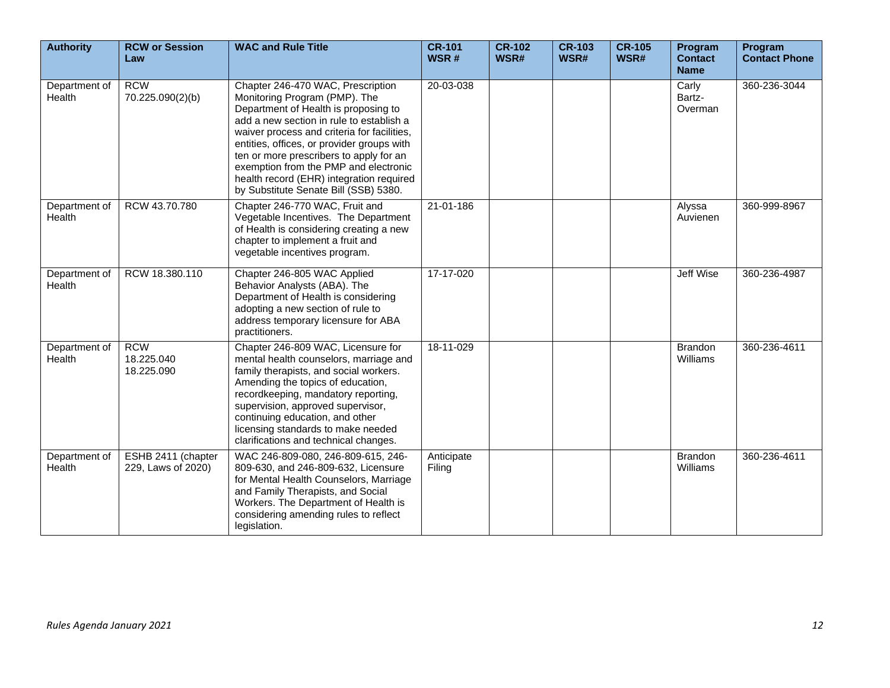| <b>Authority</b>        | <b>RCW or Session</b><br>Law             | <b>WAC and Rule Title</b>                                                                                                                                                                                                                                                                                                                                                                                                    | <b>CR-101</b><br>WSR# | $CR-102$<br>WSR# | <b>CR-103</b><br>WSR# | <b>CR-105</b><br>WSR# | Program<br><b>Contact</b><br><b>Name</b> | Program<br><b>Contact Phone</b> |
|-------------------------|------------------------------------------|------------------------------------------------------------------------------------------------------------------------------------------------------------------------------------------------------------------------------------------------------------------------------------------------------------------------------------------------------------------------------------------------------------------------------|-----------------------|------------------|-----------------------|-----------------------|------------------------------------------|---------------------------------|
| Department of<br>Health | <b>RCW</b><br>70.225.090(2)(b)           | Chapter 246-470 WAC, Prescription<br>Monitoring Program (PMP). The<br>Department of Health is proposing to<br>add a new section in rule to establish a<br>waiver process and criteria for facilities,<br>entities, offices, or provider groups with<br>ten or more prescribers to apply for an<br>exemption from the PMP and electronic<br>health record (EHR) integration required<br>by Substitute Senate Bill (SSB) 5380. | 20-03-038             |                  |                       |                       | Carly<br>Bartz-<br>Overman               | 360-236-3044                    |
| Department of<br>Health | RCW 43.70.780                            | Chapter 246-770 WAC, Fruit and<br>Vegetable Incentives. The Department<br>of Health is considering creating a new<br>chapter to implement a fruit and<br>vegetable incentives program.                                                                                                                                                                                                                                       | 21-01-186             |                  |                       |                       | Alyssa<br>Auvienen                       | 360-999-8967                    |
| Department of<br>Health | RCW 18.380.110                           | Chapter 246-805 WAC Applied<br>Behavior Analysts (ABA). The<br>Department of Health is considering<br>adopting a new section of rule to<br>address temporary licensure for ABA<br>practitioners.                                                                                                                                                                                                                             | 17-17-020             |                  |                       |                       | <b>Jeff Wise</b>                         | 360-236-4987                    |
| Department of<br>Health | <b>RCW</b><br>18.225.040<br>18.225.090   | Chapter 246-809 WAC, Licensure for<br>mental health counselors, marriage and<br>family therapists, and social workers.<br>Amending the topics of education,<br>recordkeeping, mandatory reporting,<br>supervision, approved supervisor,<br>continuing education, and other<br>licensing standards to make needed<br>clarifications and technical changes.                                                                    | 18-11-029             |                  |                       |                       | <b>Brandon</b><br>Williams               | 360-236-4611                    |
| Department of<br>Health | ESHB 2411 (chapter<br>229, Laws of 2020) | WAC 246-809-080, 246-809-615, 246-<br>809-630, and 246-809-632, Licensure<br>for Mental Health Counselors, Marriage<br>and Family Therapists, and Social<br>Workers. The Department of Health is<br>considering amending rules to reflect<br>legislation.                                                                                                                                                                    | Anticipate<br>Filing  |                  |                       |                       | <b>Brandon</b><br>Williams               | 360-236-4611                    |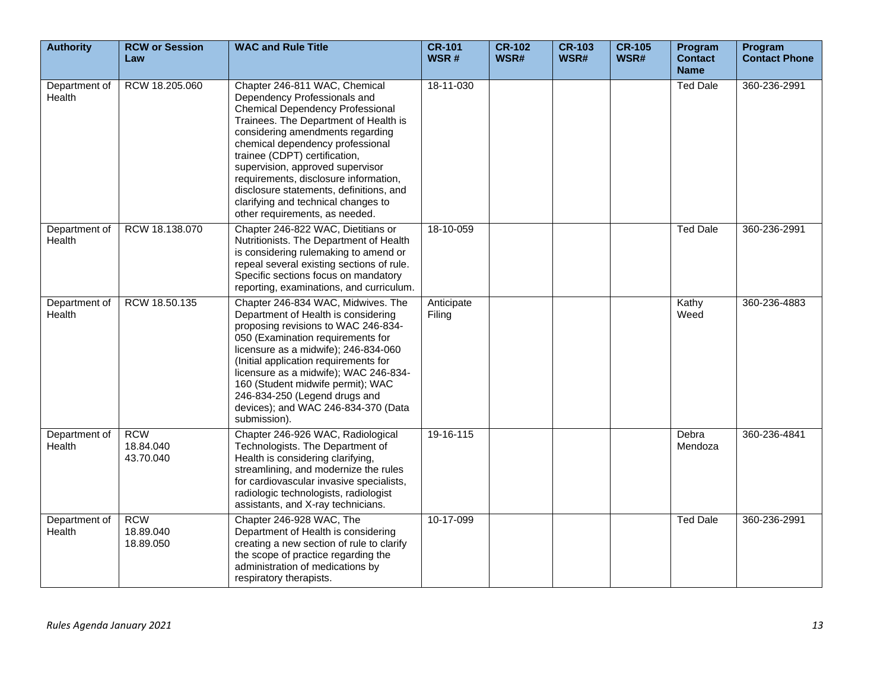| <b>Authority</b>        | <b>RCW or Session</b><br>Law         | <b>WAC and Rule Title</b>                                                                                                                                                                                                                                                                                                                                                                                                                                   | <b>CR-101</b><br>WSR# | <b>CR-102</b><br>WSR# | <b>CR-103</b><br>WSR# | <b>CR-105</b><br>WSR# | Program<br><b>Contact</b><br><b>Name</b> | Program<br><b>Contact Phone</b> |
|-------------------------|--------------------------------------|-------------------------------------------------------------------------------------------------------------------------------------------------------------------------------------------------------------------------------------------------------------------------------------------------------------------------------------------------------------------------------------------------------------------------------------------------------------|-----------------------|-----------------------|-----------------------|-----------------------|------------------------------------------|---------------------------------|
| Department of<br>Health | RCW 18.205.060                       | Chapter 246-811 WAC, Chemical<br>Dependency Professionals and<br><b>Chemical Dependency Professional</b><br>Trainees. The Department of Health is<br>considering amendments regarding<br>chemical dependency professional<br>trainee (CDPT) certification,<br>supervision, approved supervisor<br>requirements, disclosure information,<br>disclosure statements, definitions, and<br>clarifying and technical changes to<br>other requirements, as needed. | 18-11-030             |                       |                       |                       | <b>Ted Dale</b>                          | 360-236-2991                    |
| Department of<br>Health | RCW 18.138.070                       | Chapter 246-822 WAC, Dietitians or<br>Nutritionists. The Department of Health<br>is considering rulemaking to amend or<br>repeal several existing sections of rule.<br>Specific sections focus on mandatory<br>reporting, examinations, and curriculum.                                                                                                                                                                                                     | 18-10-059             |                       |                       |                       | <b>Ted Dale</b>                          | 360-236-2991                    |
| Department of<br>Health | RCW 18.50.135                        | Chapter 246-834 WAC, Midwives. The<br>Department of Health is considering<br>proposing revisions to WAC 246-834-<br>050 (Examination requirements for<br>licensure as a midwife); 246-834-060<br>(Initial application requirements for<br>licensure as a midwife); WAC 246-834-<br>160 (Student midwife permit); WAC<br>246-834-250 (Legend drugs and<br>devices); and WAC 246-834-370 (Data<br>submission).                                                | Anticipate<br>Filing  |                       |                       |                       | Kathy<br>Weed                            | 360-236-4883                    |
| Department of<br>Health | <b>RCW</b><br>18.84.040<br>43.70.040 | Chapter 246-926 WAC, Radiological<br>Technologists. The Department of<br>Health is considering clarifying,<br>streamlining, and modernize the rules<br>for cardiovascular invasive specialists,<br>radiologic technologists, radiologist<br>assistants, and X-ray technicians.                                                                                                                                                                              | 19-16-115             |                       |                       |                       | Debra<br>Mendoza                         | 360-236-4841                    |
| Department of<br>Health | <b>RCW</b><br>18.89.040<br>18.89.050 | Chapter 246-928 WAC, The<br>Department of Health is considering<br>creating a new section of rule to clarify<br>the scope of practice regarding the<br>administration of medications by<br>respiratory therapists.                                                                                                                                                                                                                                          | 10-17-099             |                       |                       |                       | <b>Ted Dale</b>                          | 360-236-2991                    |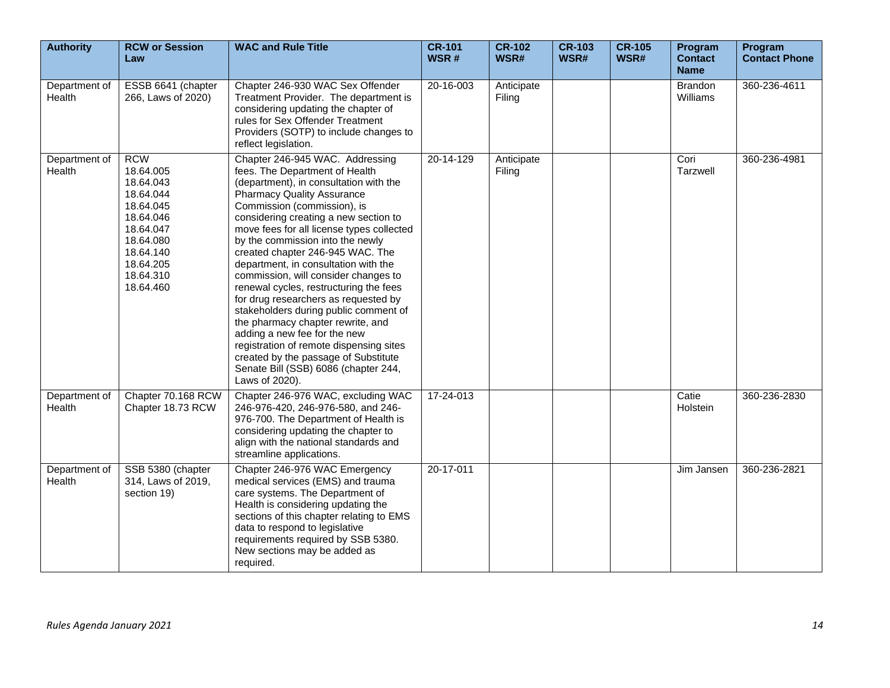| <b>Authority</b>        | <b>RCW or Session</b><br>Law                                                                                                                              | <b>WAC and Rule Title</b>                                                                                                                                                                                                                                                                                                                                                                                                                                                                                                                                                                                                                                                                                                                                                  | <b>CR-101</b><br>WSR# | <b>CR-102</b><br>WSR# | <b>CR-103</b><br>WSR# | <b>CR-105</b><br>WSR# | Program<br><b>Contact</b><br><b>Name</b> | Program<br><b>Contact Phone</b> |
|-------------------------|-----------------------------------------------------------------------------------------------------------------------------------------------------------|----------------------------------------------------------------------------------------------------------------------------------------------------------------------------------------------------------------------------------------------------------------------------------------------------------------------------------------------------------------------------------------------------------------------------------------------------------------------------------------------------------------------------------------------------------------------------------------------------------------------------------------------------------------------------------------------------------------------------------------------------------------------------|-----------------------|-----------------------|-----------------------|-----------------------|------------------------------------------|---------------------------------|
| Department of<br>Health | ESSB 6641 (chapter<br>266, Laws of 2020)                                                                                                                  | Chapter 246-930 WAC Sex Offender<br>Treatment Provider. The department is<br>considering updating the chapter of<br>rules for Sex Offender Treatment<br>Providers (SOTP) to include changes to<br>reflect legislation.                                                                                                                                                                                                                                                                                                                                                                                                                                                                                                                                                     | 20-16-003             | Anticipate<br>Filing  |                       |                       | <b>Brandon</b><br>Williams               | 360-236-4611                    |
| Department of<br>Health | <b>RCW</b><br>18.64.005<br>18.64.043<br>18.64.044<br>18.64.045<br>18.64.046<br>18.64.047<br>18.64.080<br>18.64.140<br>18.64.205<br>18.64.310<br>18.64.460 | Chapter 246-945 WAC. Addressing<br>fees. The Department of Health<br>(department), in consultation with the<br><b>Pharmacy Quality Assurance</b><br>Commission (commission), is<br>considering creating a new section to<br>move fees for all license types collected<br>by the commission into the newly<br>created chapter 246-945 WAC. The<br>department, in consultation with the<br>commission, will consider changes to<br>renewal cycles, restructuring the fees<br>for drug researchers as requested by<br>stakeholders during public comment of<br>the pharmacy chapter rewrite, and<br>adding a new fee for the new<br>registration of remote dispensing sites<br>created by the passage of Substitute<br>Senate Bill (SSB) 6086 (chapter 244,<br>Laws of 2020). | 20-14-129             | Anticipate<br>Filing  |                       |                       | Cori<br>Tarzwell                         | 360-236-4981                    |
| Department of<br>Health | Chapter 70.168 RCW<br>Chapter 18.73 RCW                                                                                                                   | Chapter 246-976 WAC, excluding WAC<br>246-976-420, 246-976-580, and 246-<br>976-700. The Department of Health is<br>considering updating the chapter to<br>align with the national standards and<br>streamline applications.                                                                                                                                                                                                                                                                                                                                                                                                                                                                                                                                               | 17-24-013             |                       |                       |                       | Catie<br>Holstein                        | 360-236-2830                    |
| Department of<br>Health | SSB 5380 (chapter<br>314, Laws of 2019,<br>section 19)                                                                                                    | Chapter 246-976 WAC Emergency<br>medical services (EMS) and trauma<br>care systems. The Department of<br>Health is considering updating the<br>sections of this chapter relating to EMS<br>data to respond to legislative<br>requirements required by SSB 5380.<br>New sections may be added as<br>required.                                                                                                                                                                                                                                                                                                                                                                                                                                                               | 20-17-011             |                       |                       |                       | Jim Jansen                               | 360-236-2821                    |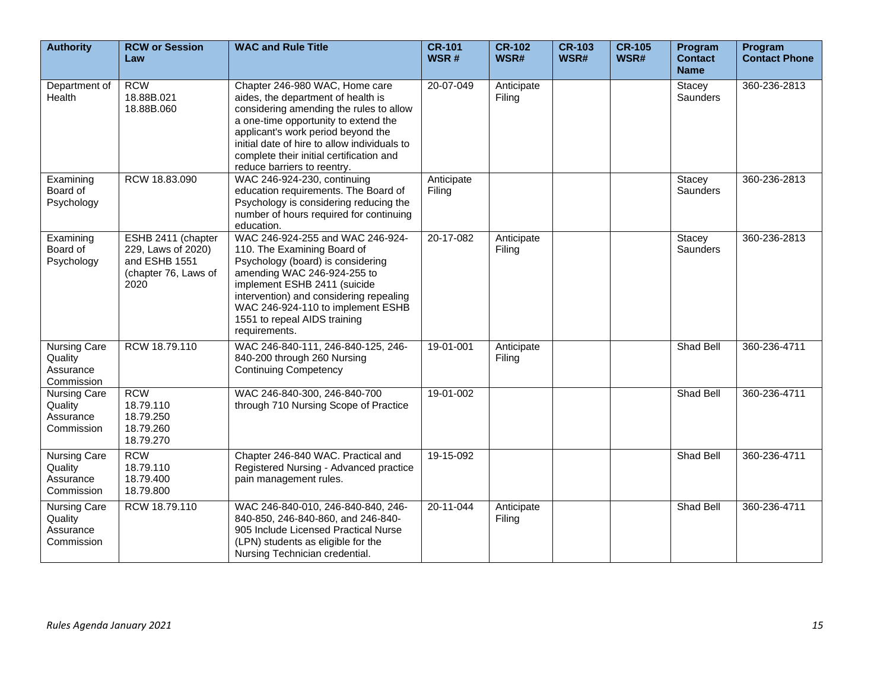| <b>Authority</b>                                          | <b>RCW or Session</b><br>Law                                                              | <b>WAC and Rule Title</b>                                                                                                                                                                                                                                                                                                | <b>CR-101</b><br>WSR# | <b>CR-102</b><br>WSR# | <b>CR-103</b><br>WSR# | <b>CR-105</b><br>WSR# | Program<br><b>Contact</b><br><b>Name</b> | Program<br><b>Contact Phone</b> |
|-----------------------------------------------------------|-------------------------------------------------------------------------------------------|--------------------------------------------------------------------------------------------------------------------------------------------------------------------------------------------------------------------------------------------------------------------------------------------------------------------------|-----------------------|-----------------------|-----------------------|-----------------------|------------------------------------------|---------------------------------|
| Department of<br>Health                                   | <b>RCW</b><br>18.88B.021<br>18.88B.060                                                    | Chapter 246-980 WAC, Home care<br>aides, the department of health is<br>considering amending the rules to allow<br>a one-time opportunity to extend the<br>applicant's work period beyond the<br>initial date of hire to allow individuals to<br>complete their initial certification and<br>reduce barriers to reentry. | 20-07-049             | Anticipate<br>Filing  |                       |                       | Stacey<br>Saunders                       | 360-236-2813                    |
| Examining<br>Board of<br>Psychology                       | RCW 18.83.090                                                                             | WAC 246-924-230, continuing<br>education requirements. The Board of<br>Psychology is considering reducing the<br>number of hours required for continuing<br>education.                                                                                                                                                   | Anticipate<br>Filing  |                       |                       |                       | Stacey<br><b>Saunders</b>                | 360-236-2813                    |
| Examining<br>Board of<br>Psychology                       | ESHB 2411 (chapter<br>229, Laws of 2020)<br>and ESHB 1551<br>(chapter 76, Laws of<br>2020 | WAC 246-924-255 and WAC 246-924-<br>110. The Examining Board of<br>Psychology (board) is considering<br>amending WAC 246-924-255 to<br>implement ESHB 2411 (suicide<br>intervention) and considering repealing<br>WAC 246-924-110 to implement ESHB<br>1551 to repeal AIDS training<br>requirements.                     | 20-17-082             | Anticipate<br>Filing  |                       |                       | Stacey<br><b>Saunders</b>                | 360-236-2813                    |
| <b>Nursing Care</b><br>Quality<br>Assurance<br>Commission | RCW 18.79.110                                                                             | WAC 246-840-111, 246-840-125, 246-<br>840-200 through 260 Nursing<br><b>Continuing Competency</b>                                                                                                                                                                                                                        | 19-01-001             | Anticipate<br>Filing  |                       |                       | Shad Bell                                | 360-236-4711                    |
| Nursing Care<br>Quality<br>Assurance<br>Commission        | <b>RCW</b><br>18.79.110<br>18.79.250<br>18.79.260<br>18.79.270                            | WAC 246-840-300, 246-840-700<br>through 710 Nursing Scope of Practice                                                                                                                                                                                                                                                    | 19-01-002             |                       |                       |                       | Shad Bell                                | 360-236-4711                    |
| Nursing Care<br>Quality<br>Assurance<br>Commission        | <b>RCW</b><br>18.79.110<br>18.79.400<br>18.79.800                                         | Chapter 246-840 WAC. Practical and<br>Registered Nursing - Advanced practice<br>pain management rules.                                                                                                                                                                                                                   | 19-15-092             |                       |                       |                       | <b>Shad Bell</b>                         | 360-236-4711                    |
| <b>Nursing Care</b><br>Quality<br>Assurance<br>Commission | RCW 18.79.110                                                                             | WAC 246-840-010, 246-840-840, 246-<br>840-850, 246-840-860, and 246-840-<br>905 Include Licensed Practical Nurse<br>(LPN) students as eligible for the<br>Nursing Technician credential.                                                                                                                                 | 20-11-044             | Anticipate<br>Filing  |                       |                       | Shad Bell                                | 360-236-4711                    |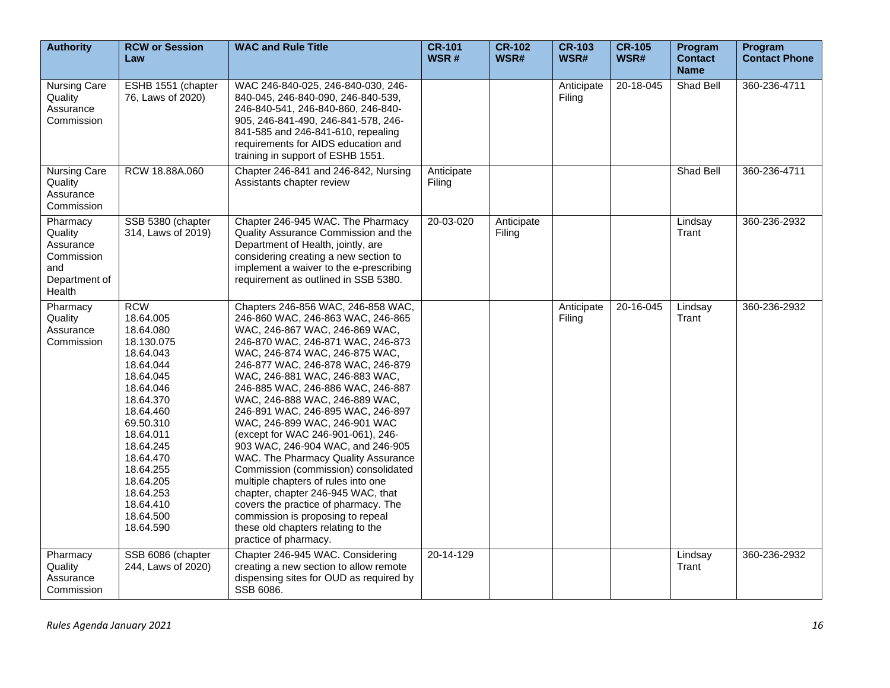| <b>Authority</b>                                                                 | <b>RCW or Session</b><br>Law                                                                                                                                                                                                                                       | <b>WAC and Rule Title</b>                                                                                                                                                                                                                                                                                                                                                                                                                                                                                                                                                                                                                                                                                                                                                               | <b>CR-101</b><br>WSR# | <b>CR-102</b><br>WSR# | <b>CR-103</b><br>WSR# | <b>CR-105</b><br>WSR# | Program<br><b>Contact</b><br><b>Name</b> | Program<br><b>Contact Phone</b> |
|----------------------------------------------------------------------------------|--------------------------------------------------------------------------------------------------------------------------------------------------------------------------------------------------------------------------------------------------------------------|-----------------------------------------------------------------------------------------------------------------------------------------------------------------------------------------------------------------------------------------------------------------------------------------------------------------------------------------------------------------------------------------------------------------------------------------------------------------------------------------------------------------------------------------------------------------------------------------------------------------------------------------------------------------------------------------------------------------------------------------------------------------------------------------|-----------------------|-----------------------|-----------------------|-----------------------|------------------------------------------|---------------------------------|
| <b>Nursing Care</b><br>Quality<br>Assurance<br>Commission                        | ESHB 1551 (chapter<br>76, Laws of 2020)                                                                                                                                                                                                                            | WAC 246-840-025, 246-840-030, 246-<br>840-045, 246-840-090, 246-840-539,<br>246-840-541, 246-840-860, 246-840-<br>905, 246-841-490, 246-841-578, 246-<br>841-585 and 246-841-610, repealing<br>requirements for AIDS education and<br>training in support of ESHB 1551.                                                                                                                                                                                                                                                                                                                                                                                                                                                                                                                 |                       |                       | Anticipate<br>Filing  | 20-18-045             | Shad Bell                                | 360-236-4711                    |
| Nursing Care<br>Quality<br>Assurance<br>Commission                               | RCW 18.88A.060                                                                                                                                                                                                                                                     | Chapter 246-841 and 246-842, Nursing<br>Assistants chapter review                                                                                                                                                                                                                                                                                                                                                                                                                                                                                                                                                                                                                                                                                                                       | Anticipate<br>Filing  |                       |                       |                       | Shad Bell                                | 360-236-4711                    |
| Pharmacy<br>Quality<br>Assurance<br>Commission<br>and<br>Department of<br>Health | SSB 5380 (chapter<br>314, Laws of 2019)                                                                                                                                                                                                                            | Chapter 246-945 WAC. The Pharmacy<br>Quality Assurance Commission and the<br>Department of Health, jointly, are<br>considering creating a new section to<br>implement a waiver to the e-prescribing<br>requirement as outlined in SSB 5380.                                                                                                                                                                                                                                                                                                                                                                                                                                                                                                                                             | 20-03-020             | Anticipate<br>Filing  |                       |                       | Lindsay<br>Trant                         | 360-236-2932                    |
| Pharmacy<br>Quality<br>Assurance<br>Commission                                   | <b>RCW</b><br>18.64.005<br>18.64.080<br>18.130.075<br>18.64.043<br>18.64.044<br>18.64.045<br>18.64.046<br>18.64.370<br>18.64.460<br>69.50.310<br>18.64.011<br>18.64.245<br>18.64.470<br>18.64.255<br>18.64.205<br>18.64.253<br>18.64.410<br>18.64.500<br>18.64.590 | Chapters 246-856 WAC, 246-858 WAC,<br>246-860 WAC, 246-863 WAC, 246-865<br>WAC, 246-867 WAC, 246-869 WAC,<br>246-870 WAC, 246-871 WAC, 246-873<br>WAC, 246-874 WAC, 246-875 WAC,<br>246-877 WAC, 246-878 WAC, 246-879<br>WAC, 246-881 WAC, 246-883 WAC,<br>246-885 WAC, 246-886 WAC, 246-887<br>WAC, 246-888 WAC, 246-889 WAC,<br>246-891 WAC, 246-895 WAC, 246-897<br>WAC, 246-899 WAC, 246-901 WAC<br>(except for WAC 246-901-061), 246-<br>903 WAC, 246-904 WAC, and 246-905<br>WAC. The Pharmacy Quality Assurance<br>Commission (commission) consolidated<br>multiple chapters of rules into one<br>chapter, chapter 246-945 WAC, that<br>covers the practice of pharmacy. The<br>commission is proposing to repeal<br>these old chapters relating to the<br>practice of pharmacy. |                       |                       | Anticipate<br>Filing  | 20-16-045             | Lindsay<br>Trant                         | 360-236-2932                    |
| Pharmacy<br>Quality<br>Assurance<br>Commission                                   | SSB 6086 (chapter<br>244, Laws of 2020)                                                                                                                                                                                                                            | Chapter 246-945 WAC. Considering<br>creating a new section to allow remote<br>dispensing sites for OUD as required by<br>SSB 6086.                                                                                                                                                                                                                                                                                                                                                                                                                                                                                                                                                                                                                                                      | 20-14-129             |                       |                       |                       | Lindsay<br>Trant                         | 360-236-2932                    |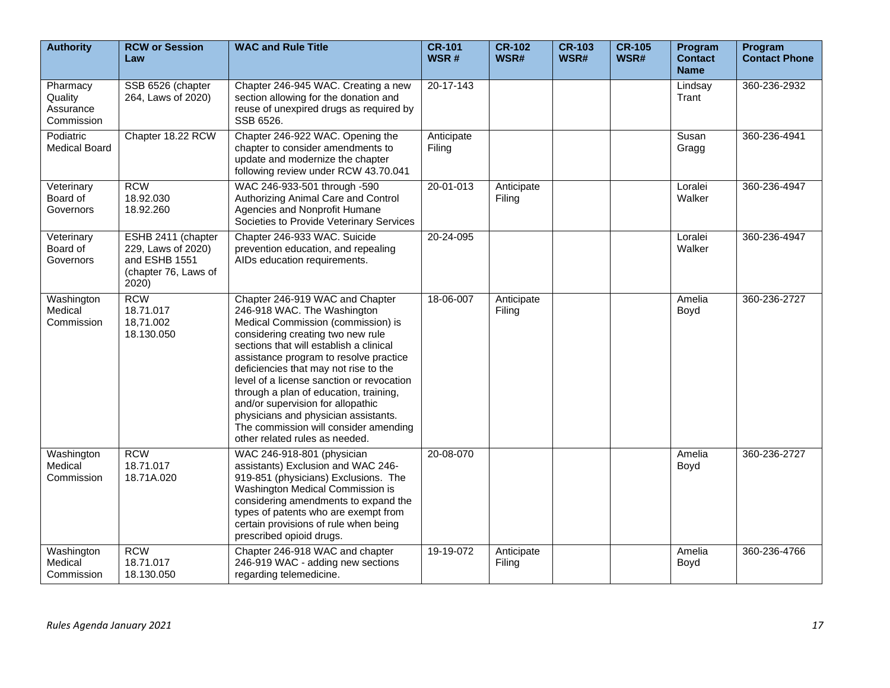| <b>Authority</b>                               | <b>RCW or Session</b><br>Law                                                               | <b>WAC and Rule Title</b>                                                                                                                                                                                                                                                                                                                                                                                                                                                                                              | <b>CR-101</b><br>WSR# | <b>CR-102</b><br>WSR# | <b>CR-103</b><br>WSR# | <b>CR-105</b><br>WSR# | Program<br><b>Contact</b><br><b>Name</b> | Program<br><b>Contact Phone</b> |
|------------------------------------------------|--------------------------------------------------------------------------------------------|------------------------------------------------------------------------------------------------------------------------------------------------------------------------------------------------------------------------------------------------------------------------------------------------------------------------------------------------------------------------------------------------------------------------------------------------------------------------------------------------------------------------|-----------------------|-----------------------|-----------------------|-----------------------|------------------------------------------|---------------------------------|
| Pharmacy<br>Quality<br>Assurance<br>Commission | SSB 6526 (chapter<br>264, Laws of 2020)                                                    | Chapter 246-945 WAC. Creating a new<br>section allowing for the donation and<br>reuse of unexpired drugs as required by<br>SSB 6526.                                                                                                                                                                                                                                                                                                                                                                                   | $20 - 17 - 143$       |                       |                       |                       | Lindsay<br>Trant                         | 360-236-2932                    |
| Podiatric<br><b>Medical Board</b>              | Chapter 18.22 RCW                                                                          | Chapter 246-922 WAC. Opening the<br>chapter to consider amendments to<br>update and modernize the chapter<br>following review under RCW 43.70.041                                                                                                                                                                                                                                                                                                                                                                      | Anticipate<br>Filing  |                       |                       |                       | Susan<br>Gragg                           | 360-236-4941                    |
| Veterinary<br>Board of<br>Governors            | <b>RCW</b><br>18.92.030<br>18.92.260                                                       | WAC 246-933-501 through -590<br>Authorizing Animal Care and Control<br>Agencies and Nonprofit Humane<br>Societies to Provide Veterinary Services                                                                                                                                                                                                                                                                                                                                                                       | $20 - 01 - 013$       | Anticipate<br>Filing  |                       |                       | Loralei<br>Walker                        | 360-236-4947                    |
| Veterinary<br>Board of<br>Governors            | ESHB 2411 (chapter<br>229, Laws of 2020)<br>and ESHB 1551<br>(chapter 76, Laws of<br>2020) | Chapter 246-933 WAC. Suicide<br>prevention education, and repealing<br>AIDs education requirements.                                                                                                                                                                                                                                                                                                                                                                                                                    | 20-24-095             |                       |                       |                       | Loralei<br>Walker                        | 360-236-4947                    |
| Washington<br>Medical<br>Commission            | <b>RCW</b><br>18.71.017<br>18,71.002<br>18.130.050                                         | Chapter 246-919 WAC and Chapter<br>246-918 WAC. The Washington<br>Medical Commission (commission) is<br>considering creating two new rule<br>sections that will establish a clinical<br>assistance program to resolve practice<br>deficiencies that may not rise to the<br>level of a license sanction or revocation<br>through a plan of education, training,<br>and/or supervision for allopathic<br>physicians and physician assistants.<br>The commission will consider amending<br>other related rules as needed. | 18-06-007             | Anticipate<br>Filing  |                       |                       | Amelia<br>Boyd                           | 360-236-2727                    |
| Washington<br>Medical<br>Commission            | <b>RCW</b><br>18.71.017<br>18.71A.020                                                      | WAC 246-918-801 (physician<br>assistants) Exclusion and WAC 246-<br>919-851 (physicians) Exclusions. The<br>Washington Medical Commission is<br>considering amendments to expand the<br>types of patents who are exempt from<br>certain provisions of rule when being<br>prescribed opioid drugs.                                                                                                                                                                                                                      | 20-08-070             |                       |                       |                       | Amelia<br>Boyd                           | 360-236-2727                    |
| Washington<br>Medical<br>Commission            | <b>RCW</b><br>18.71.017<br>18.130.050                                                      | Chapter 246-918 WAC and chapter<br>246-919 WAC - adding new sections<br>regarding telemedicine.                                                                                                                                                                                                                                                                                                                                                                                                                        | 19-19-072             | Anticipate<br>Filing  |                       |                       | Amelia<br>Boyd                           | 360-236-4766                    |